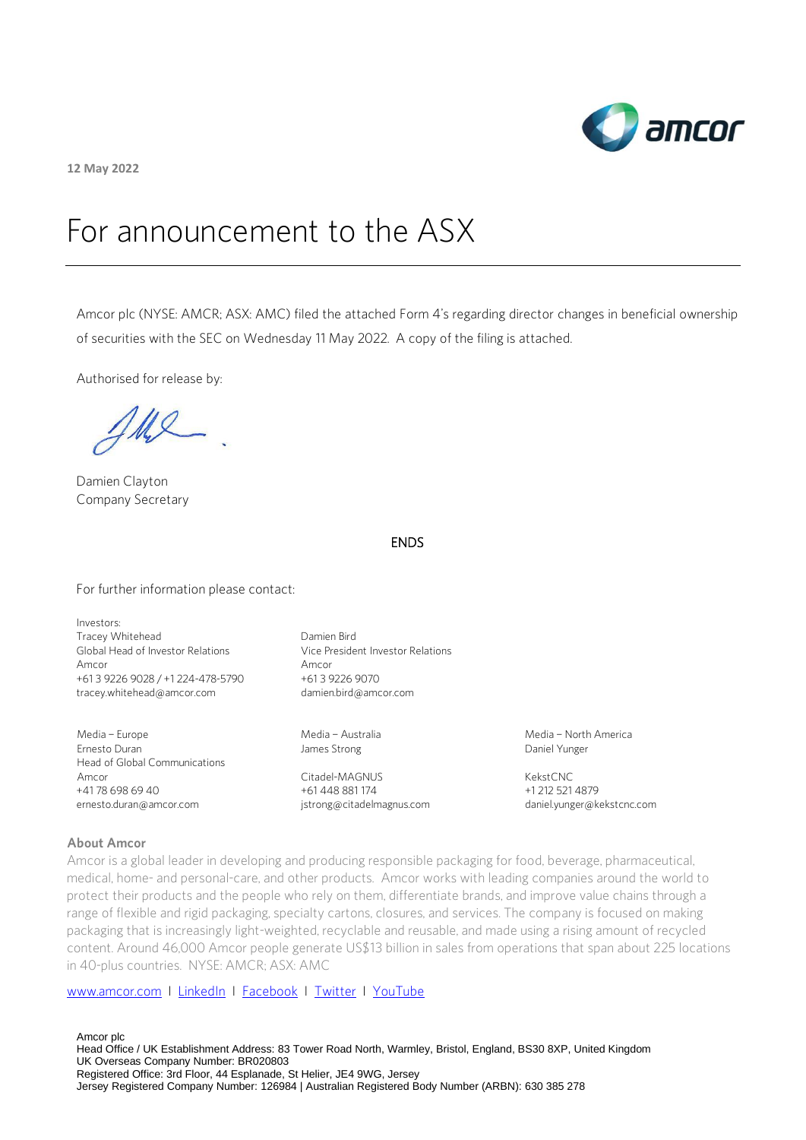

**12 May 2022**

# For announcement to the ASX

Amcor plc (NYSE: AMCR; ASX: AMC) filed the attached Form 4's regarding director changes in beneficial ownership of securities with the SEC on Wednesday 11 May 2022. A copy of the filing is attached.

Authorised for release by:

 $\mathcal{U} \mathcal{Q}$ 

Damien Clayton Company Secretary

# ENDS

For further information please contact:

Investors: Tracey Whitehead Global Head of Investor Relations Amcor +61 3 9226 9028 / +1 224-478-5790 [tracey.whitehead@amcor.com](mailto:tracey.whitehead@amcor.com)

Media – Europe Ernesto Duran Head of Global Communications Amcor +41 78 698 69 40 ernesto.duran@amcor.com

Damien Bird Vice President Investor Relations Amcor +61 3 9226 9070 damien.bird@amcor.com

Media – Australia James Strong

Citadel-MAGNUS +61 448 881 174 [jstrong@citadelmagnus.com](mailto:jstrong@citadelmagnus.com)  Media – North America Daniel Yunger

KekstCNC +1 212 521 4879 [daniel.yunger@kekstcnc.com](mailto:daniel.yunger@kekstcnc.com) 

## **About Amcor**

Amcor is a global leader in developing and producing responsible packaging for food, beverage, pharmaceutical, medical, home- and personal-care, and other products. Amcor works with leading companies around the world to protect their products and the people who rely on them, differentiate brands, and improve value chains through a range of flexible and rigid packaging, specialty cartons, closures, and services. The company is focused on making packaging that is increasingly light-weighted, recyclable and reusable, and made using a rising amount of recycled content. Around 46,000 Amcor people generate US\$13 billion in sales from operations that span about 225 locations in 40-plus countries. NYSE: AMCR; ASX: AMC

## [www.amcor.com](http://www.amcor.com/) I [LinkedIn](https://www.linkedin.com/company/6311/admin/) I [Facebook](https://www.facebook.com/amcorlimited/) I [Twitter](https://twitter.com/amcorpackaging) I [YouTube](https://www.youtube.com/user/AmcorPackaging)

Amcor plc Head Office / UK Establishment Address: 83 Tower Road North, Warmley, Bristol, England, BS30 8XP, United Kingdom UK Overseas Company Number: BR020803 Registered Office: 3rd Floor, 44 Esplanade, St Helier, JE4 9WG, Jersey Jersey Registered Company Number: 126984 | Australian Registered Body Number (ARBN): 630 385 278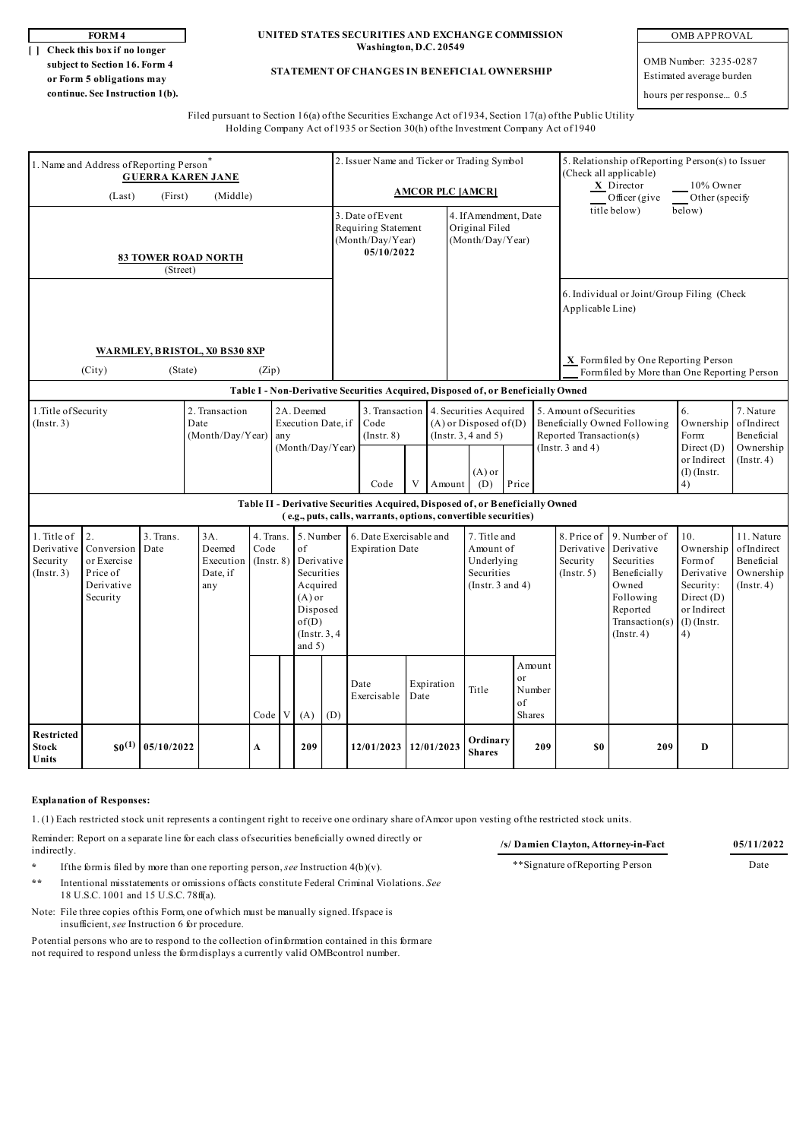**[ ] Check this box if no longer subject to Section 16. Form 4 or Form 5 obligations may continue. See Instruction 1(b).**

## **FORM 4 UNITED STATES SECURITIES AND EXCHANGE COMMISSION Washington, D.C. 20549**

**STATEMENT OF CHANGES IN BENEFICIAL OWNERSHIP**

OMB APPROVAL

OMB Number: 3235-0287 Estimated average burden

hours per response... 0.5

Filed pursuant to Section 16(a) of the Securities Exchange Act of 1934, Section 17(a) of the Public Utility Holding Company Act of 1935 or Section 30(h) of the Investment Company Act of 1940

| 1. Name and Address of Reporting Person*<br><b>GUERRA KAREN JANE</b> |                                                                                                                                                                                                      |            |                                                                                                                           |      |                                                                                  |                                                             |     | 2. Issuer Name and Ticker or Trading Symbol                                                                                                     |                                           |                                                                                |            |                                                                                                                                                                                          |                                                                                                              |                                                                         | 5. Relationship of Reporting Person(s) to Issuer<br>(Check all applicable)<br>$X$ Director<br>10% Owner |                                                                                     |                                                  |                                                    |
|----------------------------------------------------------------------|------------------------------------------------------------------------------------------------------------------------------------------------------------------------------------------------------|------------|---------------------------------------------------------------------------------------------------------------------------|------|----------------------------------------------------------------------------------|-------------------------------------------------------------|-----|-------------------------------------------------------------------------------------------------------------------------------------------------|-------------------------------------------|--------------------------------------------------------------------------------|------------|------------------------------------------------------------------------------------------------------------------------------------------------------------------------------------------|--------------------------------------------------------------------------------------------------------------|-------------------------------------------------------------------------|---------------------------------------------------------------------------------------------------------|-------------------------------------------------------------------------------------|--------------------------------------------------|----------------------------------------------------|
| (Last)<br>(First)<br>(Middle)                                        |                                                                                                                                                                                                      |            |                                                                                                                           |      |                                                                                  |                                                             |     | <b>AMCOR PLC [AMCR]</b>                                                                                                                         |                                           |                                                                                |            |                                                                                                                                                                                          |                                                                                                              |                                                                         |                                                                                                         | Officer (give                                                                       | Other (specify                                   |                                                    |
| <b>83 TOWER ROAD NORTH</b><br>(Street)                               |                                                                                                                                                                                                      |            |                                                                                                                           |      |                                                                                  |                                                             |     | 3. Date of Event<br>Requiring Statement<br>(Month/Day/Year)<br>05/10/2022                                                                       |                                           |                                                                                |            | 4. If Amendment, Date<br>Original Filed<br>(Month/Day/Year)                                                                                                                              |                                                                                                              |                                                                         | title below)<br>below)                                                                                  |                                                                                     |                                                  |                                                    |
|                                                                      |                                                                                                                                                                                                      |            |                                                                                                                           |      |                                                                                  |                                                             |     |                                                                                                                                                 |                                           |                                                                                |            |                                                                                                                                                                                          |                                                                                                              |                                                                         | 6. Individual or Joint/Group Filing (Check<br>Applicable Line)                                          |                                                                                     |                                                  |                                                    |
| WARMLEY, BRISTOL, X0 BS30 8XP<br>(City)<br>(State)<br>(Zip)          |                                                                                                                                                                                                      |            |                                                                                                                           |      |                                                                                  |                                                             |     |                                                                                                                                                 |                                           |                                                                                |            |                                                                                                                                                                                          |                                                                                                              |                                                                         |                                                                                                         | X Formfiled by One Reporting Person<br>Form filed by More than One Reporting Person |                                                  |                                                    |
|                                                                      |                                                                                                                                                                                                      |            |                                                                                                                           |      | Table I - Non-Derivative Securities Acquired, Disposed of, or Beneficially Owned |                                                             |     |                                                                                                                                                 |                                           |                                                                                |            |                                                                                                                                                                                          |                                                                                                              |                                                                         |                                                                                                         |                                                                                     |                                                  |                                                    |
| 1. Title of Security<br>(Insert. 3)                                  |                                                                                                                                                                                                      |            | 2. Transaction<br>Date<br>(Month/Day/Year)                                                                                |      |                                                                                  | 2A. Deemed<br>Execution Date, if<br>any<br>(Month/Day/Year) |     |                                                                                                                                                 | 3. Transaction<br>Code<br>$($ Instr. $8)$ |                                                                                |            | 4. Securities Acquired<br>$(A)$ or Disposed of $(D)$<br>(Insert. 3, 4 and 5)                                                                                                             |                                                                                                              |                                                                         | 5. Amount of Securities<br>Beneficially Owned Following<br>Reported Transaction(s)                      |                                                                                     | 6.<br>Ownership<br>Form:                         | 7. Nature<br>ofIndirect<br>Beneficial<br>Ownership |
|                                                                      |                                                                                                                                                                                                      |            |                                                                                                                           |      |                                                                                  |                                                             |     |                                                                                                                                                 | Code                                      | V                                                                              |            | $(A)$ or<br>Price<br>(D)<br>Amount                                                                                                                                                       |                                                                                                              |                                                                         | (Instr. $3$ and $4$ )                                                                                   |                                                                                     | Direct (D)<br>or Indirect<br>$(I)$ (Instr.<br>4) | $($ Instr. 4 $)$                                   |
|                                                                      |                                                                                                                                                                                                      |            |                                                                                                                           |      |                                                                                  |                                                             |     | Table II - Derivative Securities Acquired, Disposed of, or Beneficially Owned<br>(e.g., puts, calls, warrants, options, convertible securities) |                                           |                                                                                |            |                                                                                                                                                                                          |                                                                                                              |                                                                         |                                                                                                         |                                                                                     |                                                  |                                                    |
| 1. Title of<br>Derivative<br>Security<br>(Insert 3)                  | $\overline{2}$ .<br>3. Trans.<br>$3A$ .<br>4. Trans.<br>Date<br>Deemed<br>Conversion<br>Code<br>or Exercise<br>Execution<br>$($ Instr. $8)$<br>Price of<br>Date, if<br>Derivative<br>any<br>Security |            | 5. Number<br>of<br>Derivative<br>Securities<br>Acquired<br>$(A)$ or<br>Disposed<br>of(D)<br>$($ Instr. $3, 4$<br>and $5)$ |      |                                                                                  | 6. Date Exercisable and<br><b>Expiration Date</b>           |     |                                                                                                                                                 |                                           | 7. Title and<br>Amount of<br>Underlying<br>Securities<br>(Instr. $3$ and $4$ ) |            | 9. Number of<br>8. Price of<br>Derivative<br>Derivative<br>Securities<br>Security<br>Beneficially<br>(Insert. 5)<br>Owned<br>Following<br>Reported<br>Transaction(s)<br>$($ Instr. 4 $)$ | 10.<br>Ownership<br>Form of<br>Derivative<br>Security:<br>Direct $(D)$<br>or Indirect<br>$(I)$ (Instr.<br>4) | 11. Nature<br>ofIndirect<br>Beneficial<br>Ownership<br>$($ Instr. 4 $)$ |                                                                                                         |                                                                                     |                                                  |                                                    |
|                                                                      |                                                                                                                                                                                                      |            |                                                                                                                           | Code | V                                                                                | (A)                                                         | (D) |                                                                                                                                                 | Date<br>Exercisable                       | Date                                                                           | Expiration | Title                                                                                                                                                                                    | or<br>of                                                                                                     | Amount<br>Number<br>Shares                                              |                                                                                                         |                                                                                     |                                                  |                                                    |
| Restricted<br><b>Stock</b><br>Units                                  | $s_0^{(1)}$                                                                                                                                                                                          | 05/10/2022 |                                                                                                                           | A    |                                                                                  | 209                                                         |     |                                                                                                                                                 | 12/01/2023                                |                                                                                | 12/01/2023 | <b>Shares</b>                                                                                                                                                                            | Ordinary<br>209                                                                                              |                                                                         | \$0                                                                                                     | 209                                                                                 | D                                                |                                                    |

## **Explanation of Responses:**

1. (1) Each restricted stock unit represents a contingent right to receive one ordinary share of Amcor upon vesting of the restricted stock units.

Reminder: Report on a separate line for each class of securities beneficially owned directly or indirectly.

**\*** If the form is filed by more than one reporting person, *see* Instruction 4(b)(v).

- **\*\*** Intentional misstatements or omissions of facts constitute Federal Criminal Violations. *See* 18 U.S.C. 1001 and 15 U.S.C. 78ff(a).
- Note: File three copies of this Form, one of which must be manually signed. If space is insufficient, *see* Instruction 6 for procedure.

Potential persons who are to respond to the collection of information contained in this form are not required to respond unless the form displays a currently valid OMBcontrol number.

\*\*Signature of Reporting Person Date

**/s/ Damien Clayton, Attorney-in-Fact 05/11/2022**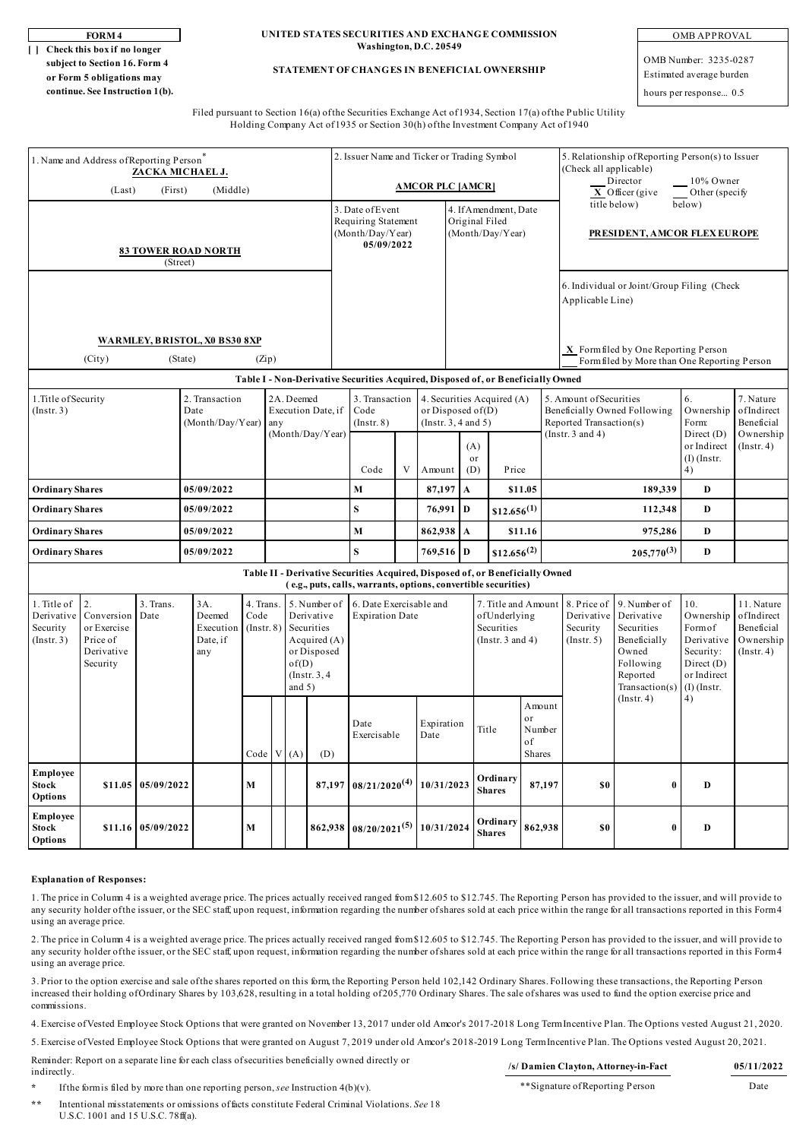| OR M -<br>4 |
|-------------|
|-------------|

**[ ] Check this box if no longer subject to Section 16. Form 4 or Form 5 obligations may continue. See Instruction 1(b).**

#### **FORM 4 UNITED STATES SECURITIES AND EXCHANGE COMMISSION Washington, D.C. 20549**

## **STATEMENT OF CHANGES IN BENEFICIAL OWNERSHIP**

OMB APPROVAL

OMB Number: 3235-0287 Estimated average burden hours per response... 0.5

Filed pursuant to Section 16(a) of the Securities Exchange Act of 1934, Section 17(a) of the Public Utility Holding Company Act of 1935 or Section 30(h) of the Investment Company Act of 1940

| 1. Name and Address of Reporting Person<br>ZACKA MICHAEL J.                                                                                        |            |                                                                                                                |                                                                                                                                                 |   |                   |                                                                                              |                                                   | 2. Issuer Name and Ticker or Trading Symbol                               |                                              |                    |                                                                            |                                                             |                                                      |                                                                                                              |                                                                                                             | 5. Relationship of Reporting Person(s) to Issuer<br>(Check all applicable)                           |                                    |                                       |  |
|----------------------------------------------------------------------------------------------------------------------------------------------------|------------|----------------------------------------------------------------------------------------------------------------|-------------------------------------------------------------------------------------------------------------------------------------------------|---|-------------------|----------------------------------------------------------------------------------------------|---------------------------------------------------|---------------------------------------------------------------------------|----------------------------------------------|--------------------|----------------------------------------------------------------------------|-------------------------------------------------------------|------------------------------------------------------|--------------------------------------------------------------------------------------------------------------|-------------------------------------------------------------------------------------------------------------|------------------------------------------------------------------------------------------------------|------------------------------------|---------------------------------------|--|
| (Middle)<br>(Last)<br>(First)                                                                                                                      |            |                                                                                                                |                                                                                                                                                 |   |                   |                                                                                              |                                                   | <b>AMCOR PLC [AMCR]</b>                                                   |                                              |                    |                                                                            |                                                             |                                                      |                                                                                                              |                                                                                                             | Director<br>10% Owner<br>$\overline{X}$ Officer (give<br>Other (specify                              |                                    |                                       |  |
| <b>83 TOWER ROAD NORTH</b><br>(Street)                                                                                                             |            |                                                                                                                |                                                                                                                                                 |   |                   |                                                                                              |                                                   | 3. Date of Event<br>Requiring Statement<br>(Month/Day/Year)<br>05/09/2022 |                                              |                    |                                                                            | 4. If Amendment, Date<br>Original Filed<br>(Month/Day/Year) |                                                      |                                                                                                              |                                                                                                             | title below)<br>below)<br>PRESIDENT, AMCOR FLEX EUROPE<br>6. Individual or Joint/Group Filing (Check |                                    |                                       |  |
|                                                                                                                                                    |            |                                                                                                                |                                                                                                                                                 |   |                   |                                                                                              | Applicable Line)                                  |                                                                           |                                              |                    |                                                                            |                                                             |                                                      |                                                                                                              |                                                                                                             |                                                                                                      |                                    |                                       |  |
| WARMLEY, BRISTOL, X0 BS30 8XP<br>(City)                                                                                                            |            |                                                                                                                |                                                                                                                                                 |   |                   |                                                                                              |                                                   |                                                                           |                                              |                    |                                                                            | X Form filed by One Reporting Person                        |                                                      |                                                                                                              |                                                                                                             |                                                                                                      |                                    |                                       |  |
|                                                                                                                                                    |            |                                                                                                                |                                                                                                                                                 |   |                   |                                                                                              |                                                   |                                                                           | Form filed by More than One Reporting Person |                    |                                                                            |                                                             |                                                      |                                                                                                              |                                                                                                             |                                                                                                      |                                    |                                       |  |
|                                                                                                                                                    |            | Table I - Non-Derivative Securities Acquired, Disposed of, or Beneficially Owned<br>4. Securities Acquired (A) |                                                                                                                                                 |   |                   |                                                                                              |                                                   |                                                                           |                                              |                    | 6.                                                                         | 7. Nature                                                   |                                                      |                                                                                                              |                                                                                                             |                                                                                                      |                                    |                                       |  |
| 1. Title of Security<br>(Insert. 3)                                                                                                                |            |                                                                                                                | 2. Transaction<br>Date<br>(Month/Day/Year)                                                                                                      |   |                   | 2A. Deemed<br>any                                                                            | Execution Date, if<br>(Month/Day/Year)            | 3. Transaction<br>Code<br>$($ Instr. $8)$                                 |                                              |                    |                                                                            | or Disposed of $(D)$<br>(Insert. 3, 4 and 5)                |                                                      |                                                                                                              | 5. Amount of Securities<br>Beneficially Owned Following<br>Reported Transaction(s)<br>(Instr. $3$ and $4$ ) |                                                                                                      | Ownership<br>Form:<br>Direct (D)   | ofIndirect<br>Beneficial<br>Ownership |  |
|                                                                                                                                                    |            |                                                                                                                |                                                                                                                                                 |   |                   |                                                                                              |                                                   | Code<br>V                                                                 |                                              | Amount             |                                                                            | (A)<br>or<br>(D)                                            | Price                                                |                                                                                                              |                                                                                                             |                                                                                                      | or Indirect<br>$(I)$ (Instr.<br>4) | $($ Instr. 4 $)$                      |  |
| <b>Ordinary Shares</b>                                                                                                                             | 05/09/2022 |                                                                                                                |                                                                                                                                                 |   |                   | M                                                                                            |                                                   |                                                                           | 87,197<br>$\boldsymbol{\rm{A}}$              |                    |                                                                            | \$11.05                                                     |                                                      | 189,339                                                                                                      | $\mathbf D$                                                                                                 |                                                                                                      |                                    |                                       |  |
| <b>Ordinary Shares</b>                                                                                                                             | 05/09/2022 |                                                                                                                |                                                                                                                                                 |   |                   | $\bf S$                                                                                      |                                                   | 76,991                                                                    | D                                            |                    | $$12.656^{(1)}$                                                            |                                                             |                                                      | 112,348                                                                                                      | D                                                                                                           |                                                                                                      |                                    |                                       |  |
| <b>Ordinary Shares</b>                                                                                                                             | 05/09/2022 |                                                                                                                |                                                                                                                                                 |   |                   | M                                                                                            |                                                   | 862,938 A                                                                 |                                              |                    |                                                                            | \$11.16                                                     |                                                      | 975,286                                                                                                      | D                                                                                                           |                                                                                                      |                                    |                                       |  |
| <b>Ordinary Shares</b>                                                                                                                             | 05/09/2022 |                                                                                                                |                                                                                                                                                 |   |                   | S                                                                                            |                                                   | 769,516 D                                                                 |                                              |                    | $$12.656^{(2)}$                                                            |                                                             |                                                      | $205,770^{(3)}$                                                                                              | D                                                                                                           |                                                                                                      |                                    |                                       |  |
|                                                                                                                                                    |            |                                                                                                                | Table II - Derivative Securities Acquired, Disposed of, or Beneficially Owned<br>(e.g., puts, calls, warrants, options, convertible securities) |   |                   |                                                                                              |                                                   |                                                                           |                                              |                    |                                                                            |                                                             |                                                      |                                                                                                              |                                                                                                             |                                                                                                      |                                    |                                       |  |
| 2.<br>1. Title of<br>3. Trans.<br>Derivative<br>Conversion<br>Date<br>Security<br>or Exercise<br>(Insert. 3)<br>Price of<br>Derivative<br>Security |            | 3A.<br>4. Trans.<br>Deemed<br>Code<br>Execution<br>$($ Instr. $8)$<br>Date, if<br>any                          |                                                                                                                                                 |   | of(D)<br>and $5)$ | 5. Number of<br>Derivative<br>Securities<br>Acquired (A)<br>or Disposed<br>$($ Instr. $3, 4$ | 6. Date Exercisable and<br><b>Expiration Date</b> |                                                                           |                                              |                    | 7. Title and Amount<br>ofUnderlying<br>Securities<br>(Instr. $3$ and $4$ ) |                                                             | 8. Price of<br>Derivative<br>Security<br>(Insert. 5) | 9. Number of<br>Derivative<br>Securities<br>Beneficially<br>Owned<br>Following<br>Reported<br>Transaction(s) | 10.<br>Ownership<br>Formof<br>Derivative<br>Security:<br>Direct (D)<br>or Indirect<br>$(I)$ (Instr.         | 11. Nature<br>ofIndirect<br>Beneficial<br>Ownership<br>$($ Instr. 4 $)$                              |                                    |                                       |  |
|                                                                                                                                                    |            |                                                                                                                |                                                                                                                                                 |   |                   | Code   V   (A)                                                                               | (D)                                               | Date<br>Exercisable                                                       |                                              | Expiration<br>Date |                                                                            |                                                             | Title                                                | Amount<br>or<br>Number<br>of<br>Shares                                                                       |                                                                                                             | $($ Instr. 4 $)$                                                                                     | 4)                                 |                                       |  |
| Employee<br><b>Stock</b><br>Options                                                                                                                | \$11.05    | 05/09/2022                                                                                                     |                                                                                                                                                 | M |                   |                                                                                              |                                                   | $87,197$ 08/21/2020 <sup>(4)</sup>                                        |                                              | 10/31/2023         |                                                                            |                                                             | Ordinary<br>87,197<br><b>Shares</b>                  |                                                                                                              | \$0                                                                                                         | $\bf{0}$                                                                                             | D                                  |                                       |  |
| Employee<br>Stock<br>Options                                                                                                                       | \$11.16    | 05/09/2022                                                                                                     |                                                                                                                                                 | M |                   |                                                                                              | 862,938                                           | $08/20/2021^{(5)}$                                                        |                                              | 10/31/2024         |                                                                            |                                                             | Ordinary<br><b>Shares</b>                            | 862,938                                                                                                      | S <sub>0</sub>                                                                                              | $\bf{0}$                                                                                             | D                                  |                                       |  |

#### **Explanation of Responses:**

1. The price in Column 4 is a weighted average price. The prices actually received ranged from \$12.605 to \$12.745. The Reporting Person has provided to the issuer, and will provide to any security holder of the issuer, or the SEC staff, upon request, information regarding the number of shares sold at each price within the range for all transactions reported in this Form 4 using an average price.

2. The price in Column 4 is a weighted average price. The prices actually received ranged from \$12.605 to \$12.745. The Reporting Person has provided to the issuer, and will provide to any security holder of the issuer, or the SEC staff, upon request, information regarding the number of shares sold at each price within the range for all transactions reported in this Form 4 using an average price.

3. Prior to the option exercise and sale of the shares reported on this form, the Reporting Person held 102,142 Ordinary Shares. Following these transactions, the Reporting Person increased their holding of Ordinary Shares by 103,628, resulting in a total holding of 205,770 Ordinary Shares. The sale of shares was used to fund the option exercise price and commissions.

4. Exercise of Vested Employee Stock Options that were granted on November 13, 2017 under old Amcor's 2017-2018 Long Term Incentive Plan. The Options vested August 21, 2020.

5. Exercise of Vested Employee Stock Options that were granted on August 7, 2019 under old Amcor's 2018-2019 Long Term Incentive Plan. The Options vested August 20, 2021.

Reminder: Report on a separate line for each class of securities beneficially owned directly or indirectly.

**/s/ Damien Clayton, Attorney-in-Fact 05/11/2022** \*\*Signature of Reporting Person Date

If the form is filed by more than one reporting person, *see* Instruction  $4(b)(v)$ .

**\*\*** Intentional misstatements or omissions of facts constitute Federal Criminal Violations. *See* 18 U.S.C. 1001 and 15 U.S.C. 78ff(a).